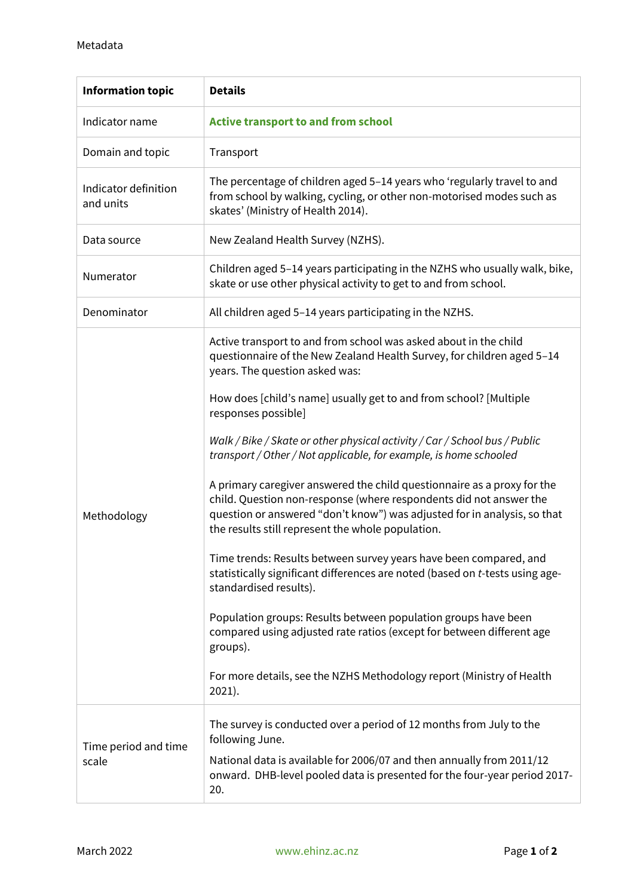| <b>Information topic</b>          | <b>Details</b>                                                                                                                                                                                                                                                                 |
|-----------------------------------|--------------------------------------------------------------------------------------------------------------------------------------------------------------------------------------------------------------------------------------------------------------------------------|
| Indicator name                    | <b>Active transport to and from school</b>                                                                                                                                                                                                                                     |
| Domain and topic                  | Transport                                                                                                                                                                                                                                                                      |
| Indicator definition<br>and units | The percentage of children aged 5-14 years who 'regularly travel to and<br>from school by walking, cycling, or other non-motorised modes such as<br>skates' (Ministry of Health 2014).                                                                                         |
| Data source                       | New Zealand Health Survey (NZHS).                                                                                                                                                                                                                                              |
| Numerator                         | Children aged 5-14 years participating in the NZHS who usually walk, bike,<br>skate or use other physical activity to get to and from school.                                                                                                                                  |
| Denominator                       | All children aged 5-14 years participating in the NZHS.                                                                                                                                                                                                                        |
| Methodology                       | Active transport to and from school was asked about in the child<br>questionnaire of the New Zealand Health Survey, for children aged 5-14<br>years. The question asked was:                                                                                                   |
|                                   | How does [child's name] usually get to and from school? [Multiple<br>responses possible]                                                                                                                                                                                       |
|                                   | Walk / Bike / Skate or other physical activity / Car / School bus / Public<br>transport / Other / Not applicable, for example, is home schooled                                                                                                                                |
|                                   | A primary caregiver answered the child questionnaire as a proxy for the<br>child. Question non-response (where respondents did not answer the<br>question or answered "don't know") was adjusted for in analysis, so that<br>the results still represent the whole population. |
|                                   | Time trends: Results between survey years have been compared, and<br>statistically significant differences are noted (based on t-tests using age-<br>standardised results).                                                                                                    |
|                                   | Population groups: Results between population groups have been<br>compared using adjusted rate ratios (except for between different age<br>groups).                                                                                                                            |
|                                   | For more details, see the NZHS Methodology report (Ministry of Health<br>$2021$ ).                                                                                                                                                                                             |
| Time period and time<br>scale     | The survey is conducted over a period of 12 months from July to the<br>following June.                                                                                                                                                                                         |
|                                   | National data is available for 2006/07 and then annually from 2011/12<br>onward. DHB-level pooled data is presented for the four-year period 2017-<br>20.                                                                                                                      |